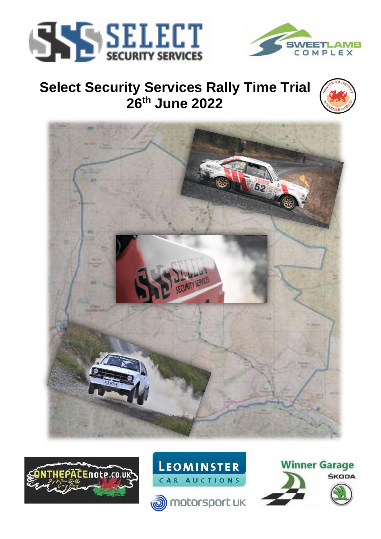



# **Select Security Services Rally Time Trial 26th June 2022**









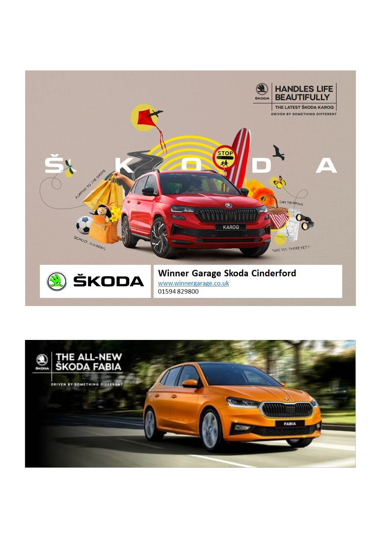

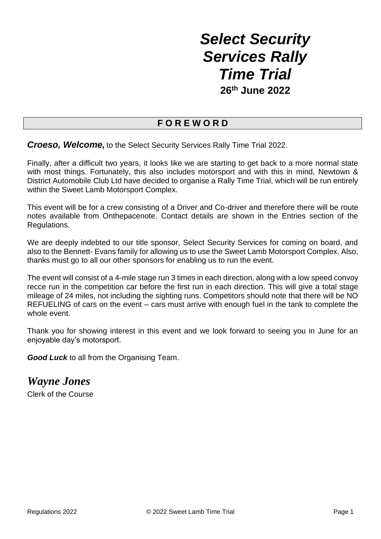# *Select Security Services Rally Time Trial* **26th June 2022**

## **F O R E W O R D**

*Croeso, Welcome,* to the Select Security Services Rally Time Trial 2022.

Finally, after a difficult two years, it looks like we are starting to get back to a more normal state with most things. Fortunately, this also includes motorsport and with this in mind. Newtown & District Automobile Club Ltd have decided to organise a Rally Time Trial, which will be run entirely within the Sweet Lamb Motorsport Complex.

This event will be for a crew consisting of a Driver and Co-driver and therefore there will be route notes available from Onthepacenote. Contact details are shown in the Entries section of the Regulations.

We are deeply indebted to our title sponsor, Select Security Services for coming on board, and also to the Bennett- Evans family for allowing us to use the Sweet Lamb Motorsport Complex. Also, thanks must go to all our other sponsors for enabling us to run the event.

The event will consist of a 4-mile stage run 3 times in each direction, along with a low speed convoy recce run in the competition car before the first run in each direction. This will give a total stage mileage of 24 miles, not including the sighting runs. Competitors should note that there will be NO REFUELING of cars on the event – cars must arrive with enough fuel in the tank to complete the whole event.

Thank you for showing interest in this event and we look forward to seeing you in June for an enjoyable day's motorsport.

**Good Luck** to all from the Organising Team.

*Wayne Jones*

Clerk of the Course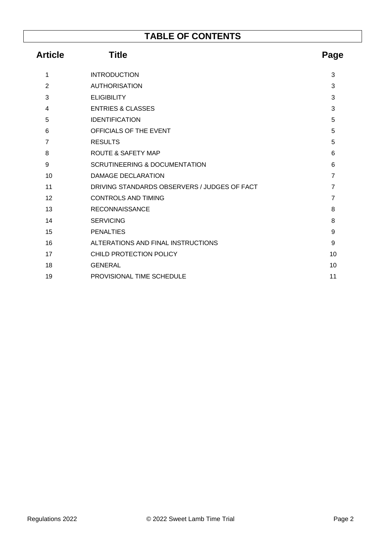## **TABLE OF CONTENTS**

| <b>Title</b><br><b>Article</b> |                                              | Page           |  |
|--------------------------------|----------------------------------------------|----------------|--|
| 1                              | <b>INTRODUCTION</b>                          | 3              |  |
| $\overline{2}$                 | <b>AUTHORISATION</b>                         | 3              |  |
| 3                              | <b>ELIGIBILITY</b>                           | 3              |  |
| 4                              | <b>ENTRIES &amp; CLASSES</b>                 | 3              |  |
| 5                              | <b>IDENTIFICATION</b>                        | 5              |  |
| 6                              | OFFICIALS OF THE EVENT                       | 5              |  |
| $\overline{7}$                 | <b>RESULTS</b>                               | 5              |  |
| 8                              | <b>ROUTE &amp; SAFETY MAP</b>                | 6              |  |
| 9                              | <b>SCRUTINEERING &amp; DOCUMENTATION</b>     | 6              |  |
| 10                             | <b>DAMAGE DECLARATION</b>                    | $\overline{7}$ |  |
| 11                             | DRIVING STANDARDS OBSERVERS / JUDGES OF FACT | $\overline{7}$ |  |
| 12                             | <b>CONTROLS AND TIMING</b>                   | $\overline{7}$ |  |
| 13                             | <b>RECONNAISSANCE</b>                        | 8              |  |
| 14                             | <b>SERVICING</b>                             | 8              |  |
| 15                             | <b>PENALTIES</b>                             | 9              |  |
| 16                             | ALTERATIONS AND FINAL INSTRUCTIONS           | 9              |  |
| 17                             | CHILD PROTECTION POLICY                      | 10             |  |
| 18                             | <b>GENERAL</b>                               | 10             |  |
| 19                             | PROVISIONAL TIME SCHEDULE                    | 11             |  |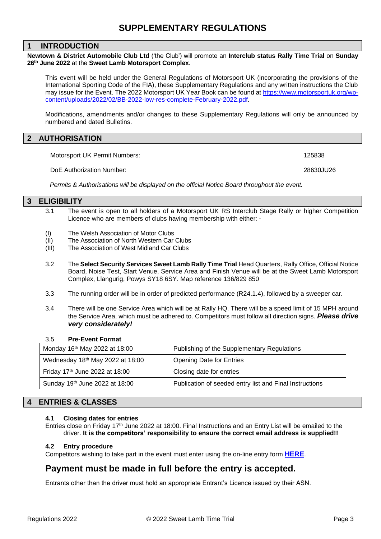#### **1 INTRODUCTION**

**Newtown & District Automobile Club Ltd** ('the Club') will promote an **Interclub status Rally Time Trial** on **Sunday 26th June 2022** at the **Sweet Lamb Motorsport Complex**.

This event will be held under the General Regulations of Motorsport UK (incorporating the provisions of the International Sporting Code of the FIA), these Supplementary Regulations and any written instructions the Club may issue for the Event. The 2022 Motorsport UK Year Book can be found at [https://www.motorsportuk.org/wp](https://www.motorsportuk.org/wp-content/uploads/2022/02/BB-2022-low-res-complete-February-2022.pdf)[content/uploads/2022/02/BB-2022-low-res-complete-February-2022.pdf.](https://www.motorsportuk.org/wp-content/uploads/2022/02/BB-2022-low-res-complete-February-2022.pdf)

Modifications, amendments and/or changes to these Supplementary Regulations will only be announced by numbered and dated Bulletins.

#### **2 AUTHORISATION**

Motorsport UK Permit Numbers: 125838

DoE Authorization Number: 28630JU26

*Permits & Authorisations will be displayed on the official Notice Board throughout the event.*

#### **3 ELIGIBILITY**

- 3.1 The event is open to all holders of a Motorsport UK RS Interclub Stage Rally or higher Competition Licence who are members of clubs having membership with either: -
- (I) The Welsh Association of Motor Clubs
- (II) The Association of North Western Car Clubs
- (III) The Association of West Midland Car Clubs
- 3.2 The **Select Security Services Sweet Lamb Rally Time Trial** Head Quarters, Rally Office, Official Notice Board, Noise Test, Start Venue, Service Area and Finish Venue will be at the Sweet Lamb Motorsport Complex, Llangurig, Powys SY18 6SY. Map reference 136/829 850
- 3.3 The running order will be in order of predicted performance (R24.1.4), followed by a sweeper car.
- 3.4 There will be one Service Area which will be at Rally HQ. There will be a speed limit of 15 MPH around the Service Area, which must be adhered to. Competitors must follow all direction signs. *Please drive very considerately!*

#### 3.5 **Pre-Event Format**

| Monday 16th May 2022 at 18:00    | Publishing of the Supplementary Regulations             |
|----------------------------------|---------------------------------------------------------|
| Wednesday 18th May 2022 at 18:00 | <b>Opening Date for Entries</b>                         |
| Friday 17th June 2022 at 18:00   | Closing date for entries                                |
| Sunday 19th June 2022 at 18:00   | Publication of seeded entry list and Final Instructions |

#### **4 ENTRIES & CLASSES**

#### **4.1 Closing dates for entries**

Entries close on Friday 17<sup>th</sup> June 2022 at 18:00. Final Instructions and an Entry List will be emailed to the driver. **It is the competitors' responsibility to ensure the correct email address is supplied!!**

#### **4.2 Entry procedure**

Competitors wishing to take part in the event must enter using the on-line entry form **[HERE](https://www.rallies.info/webentry/2022/sweetlamb/webentry.php)**.

### **Payment must be made in full before the entry is accepted.**

Entrants other than the driver must hold an appropriate Entrant's Licence issued by their ASN.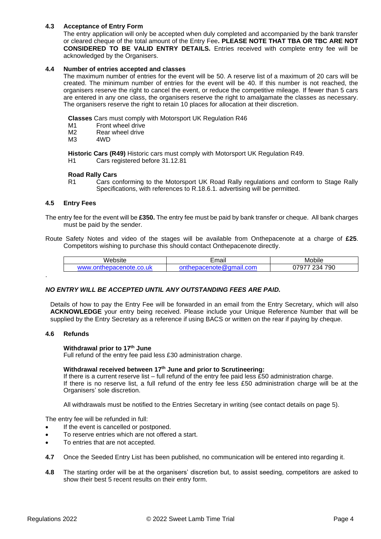#### **4.3 Acceptance of Entry Form**

The entry application will only be accepted when duly completed and accompanied by the bank transfer or cleared cheque of the total amount of the Entry Fee**. PLEASE NOTE THAT TBA OR TBC ARE NOT CONSIDERED TO BE VALID ENTRY DETAILS.** Entries received with complete entry fee will be acknowledged by the Organisers.

#### **4.4 Number of entries accepted and classes**

The maximum number of entries for the event will be 50. A reserve list of a maximum of 20 cars will be created. The minimum number of entries for the event will be 40. If this number is not reached, the organisers reserve the right to cancel the event, or reduce the competitive mileage. If fewer than 5 cars are entered in any one class, the organisers reserve the right to amalgamate the classes as necessary. The organisers reserve the right to retain 10 places for allocation at their discretion.

**Classes** Cars must comply with Motorsport UK Regulation R46

- M1 Front wheel drive<br>M2 Rear wheel drive
- M2 Rear wheel drive<br>M3 4WD
- $4WD$

**Historic Cars (R49)** Historic cars must comply with Motorsport UK Regulation R49.<br>H1 Cars registered before 31.12.81

Cars registered before 31.12.81

#### **Road Rally Cars**

R1 Cars conforming to the Motorsport UK Road Rally regulations and conform to Stage Rally Specifications, with references to R.18.6.1. advertising will be permitted.

#### **4.5 Entry Fees**

The entry fee for the event will be **£350.** The entry fee must be paid by bank transfer or cheque. All bank charges must be paid by the sender.

Route Safety Notes and video of the stages will be available from Onthepacenote at a charge of **£25**. Competitors wishing to purchase this should contact Onthepacenote directly.

| Website                        | Email    | .<br>Mobile                         |
|--------------------------------|----------|-------------------------------------|
| <b>WWV</b><br>.uł<br>--<br>. . | com<br>. | 790<br>$\sim$<br>₹Δ<br>'u<br>ີ<br>◡ |

#### *NO ENTRY WILL BE ACCEPTED UNTIL ANY OUTSTANDING FEES ARE PAID.*

Details of how to pay the Entry Fee will be forwarded in an email from the Entry Secretary, which will also **ACKNOWLEDGE** your entry being received. Please include your Unique Reference Number that will be supplied by the Entry Secretary as a reference if using BACS or written on the rear if paying by cheque.

#### **4.6 Refunds**

.

#### **Withdrawal prior to 17th June**

Full refund of the entry fee paid less £30 administration charge.

#### **Withdrawal received between 17th June and prior to Scrutineering:**

If there is a current reserve list – full refund of the entry fee paid less £50 administration charge. If there is no reserve list, a full refund of the entry fee less £50 administration charge will be at the

Organisers' sole discretion.

All withdrawals must be notified to the Entries Secretary in writing (see contact details on page [5\)](#page-6-0).

The entry fee will be refunded in full:

- If the event is cancelled or postponed.
- To reserve entries which are not offered a start.
- To entries that are not accepted.
- **4.7** Once the Seeded Entry List has been published, no communication will be entered into regarding it.
- **4.8** The starting order will be at the organisers' discretion but, to assist seeding, competitors are asked to show their best 5 recent results on their entry form.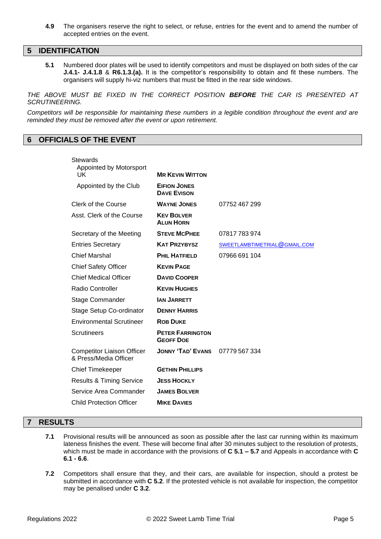**4.9** The organisers reserve the right to select, or refuse, entries for the event and to amend the number of accepted entries on the event.

#### **5 IDENTIFICATION**

**5.1** Numbered door plates will be used to identify competitors and must be displayed on both sides of the car **J.4.1- J.4.1.8** & **R6.1.3.(a).** It is the competitor's responsibility to obtain and fit these numbers. The organisers will supply hi-viz numbers that must be fitted in the rear side windows.

*THE ABOVE MUST BE FIXED IN THE CORRECT POSITION BEFORE THE CAR IS PRESENTED AT SCRUTINEERING.*

*Competitors will be responsible for maintaining these numbers in a legible condition throughout the event and are reminded they must be removed after the event or upon retirement.*

#### <span id="page-6-0"></span>**6 OFFICIALS OF THE EVENT**

| Stewards<br><b>Appointed by Motorsport</b>                 |                                             |                              |
|------------------------------------------------------------|---------------------------------------------|------------------------------|
| UK                                                         | <b>MR KEVIN WITTON</b>                      |                              |
| Appointed by the Club                                      | <b>EIFION JONES</b><br><b>DAVE EVISON</b>   |                              |
| Clerk of the Course                                        | <b>WAYNE JONES</b>                          | 07752 467 299                |
| Asst. Clerk of the Course                                  | <b>KEV BOLVER</b><br><b>ALUN HORN</b>       |                              |
| Secretary of the Meeting                                   | <b>STEVE MCPHEE</b>                         | 07817 783 974                |
| <b>Entries Secretary</b>                                   | <b>KAT PRZYBYSZ</b>                         | SWEETLAMBTIMETRIAL@GMAIL.COM |
| <b>Chief Marshal</b>                                       | <b>PHIL HATFIELD</b>                        | 07966 691 104                |
| <b>Chief Safety Officer</b>                                | <b>KEVIN PAGE</b>                           |                              |
| <b>Chief Medical Officer</b>                               | <b>DAVID COOPER</b>                         |                              |
| Radio Controller                                           | <b>KEVIN HUGHES</b>                         |                              |
| <b>Stage Commander</b>                                     | <b>JAN JARRETT</b>                          |                              |
| Stage Setup Co-ordinator                                   | <b>DENNY HARRIS</b>                         |                              |
| <b>Environmental Scrutineer</b>                            | <b>ROB DUKE</b>                             |                              |
| <b>Scrutineers</b>                                         | <b>PETER FARRINGTON</b><br><b>GEOFF DOE</b> |                              |
| <b>Competitor Liaison Officer</b><br>& Press/Media Officer | <b>JONNY 'TAD' EVANS</b>                    | 07779 567 334                |
| <b>Chief Timekeeper</b>                                    | <b>GETHIN PHILLIPS</b>                      |                              |
| <b>Results &amp; Timing Service</b>                        | <b>JESS HOCKLY</b>                          |                              |
| Service Area Commander                                     | <b>JAMES BOLVER</b>                         |                              |
| <b>Child Protection Officer</b>                            | <b>MIKE DAVIES</b>                          |                              |
|                                                            |                                             |                              |

#### **7 RESULTS**

- **7.1** Provisional results will be announced as soon as possible after the last car running within its maximum lateness finishes the event. These will become final after 30 minutes subject to the resolution of protests, which must be made in accordance with the provisions of **C 5.1 – 5.7** and Appeals in accordance with **C 6.1 - 6.6**.
- **7.2** Competitors shall ensure that they, and their cars, are available for inspection, should a protest be submitted in accordance with **C 5.2**. If the protested vehicle is not available for inspection, the competitor may be penalised under **C 3.2**.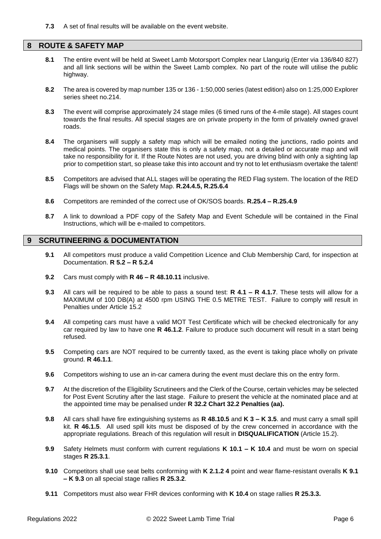**7.3** A set of final results will be available on the event website.

#### **8 ROUTE & SAFETY MAP**

- **8.1** The entire event will be held at Sweet Lamb Motorsport Complex near Llangurig (Enter via 136/840 827) and all link sections will be within the Sweet Lamb complex. No part of the route will utilise the public highway.
- **8.2** The area is covered by map number 135 or 136 1:50,000 series (latest edition) also on 1:25,000 Explorer series sheet no.214.
- **8.3** The event will comprise approximately 24 stage miles (6 timed runs of the 4-mile stage). All stages count towards the final results. All special stages are on private property in the form of privately owned gravel roads.
- **8.4** The organisers will supply a safety map which will be emailed noting the junctions, radio points and medical points. The organisers state this is only a safety map, not a detailed or accurate map and will take no responsibility for it. If the Route Notes are not used, you are driving blind with only a sighting lap prior to competition start, so please take this into account and try not to let enthusiasm overtake the talent!
- **8.5** Competitors are advised that ALL stages will be operating the RED Flag system. The location of the RED Flags will be shown on the Safety Map. **R.24.4.5, R.25.6.4**
- **8.6** Competitors are reminded of the correct use of OK/SOS boards. **R.25.4 – R.25.4.9**
- **8.7** A link to download a PDF copy of the Safety Map and Event Schedule will be contained in the Final Instructions, which will be e-mailed to competitors.

#### **9 SCRUTINEERING & DOCUMENTATION**

- **9.1** All competitors must produce a valid Competition Licence and Club Membership Card, for inspection at Documentation. **R 5.2 – R 5.2.4**
- **9.2** Cars must comply with **R 46 – R 48.10.11** inclusive.
- **9.3** All cars will be required to be able to pass a sound test: **R 4.1 – R 4.1.7**. These tests will allow for a MAXIMUM of 100 DB(A) at 4500 rpm USING THE 0.5 METRE TEST. Failure to comply will result in Penalties under Article [15.2](#page-10-0)
- **9.4** All competing cars must have a valid MOT Test Certificate which will be checked electronically for any car required by law to have one **R 46.1.2**. Failure to produce such document will result in a start being refused.
- **9.5** Competing cars are NOT required to be currently taxed, as the event is taking place wholly on private ground. **R 46.1.1**.
- **9.6** Competitors wishing to use an in-car camera during the event must declare this on the entry form.
- **9.7** At the discretion of the Eligibility Scrutineers and the Clerk of the Course, certain vehicles may be selected for Post Event Scrutiny after the last stage. Failure to present the vehicle at the nominated place and at the appointed time may be penalised under **R 32.2 Chart 32.2 Penalties (aa).**
- <span id="page-7-0"></span>**9.8** All cars shall have fire extinguishing systems as **R 48.10.5** and **K 3 – K 3.5**. and must carry a small spill kit. **R 46.1.5**. All used spill kits must be disposed of by the crew concerned in accordance with the appropriate regulations. Breach of this regulation will result in **DISQUALIFICATION** (Article [15.2\)](#page-10-1).
- **9.9** Safety Helmets must conform with current regulations **K 10.1 – K 10.4** and must be worn on special stages **R 25.3.1**.
- **9.10** Competitors shall use seat belts conforming with **K 2.1.2 4** point and wear flame-resistant overalls **K 9.1 – K 9.3** on all special stage rallies **R 25.3.2**.
- **9.11** Competitors must also wear FHR devices conforming with **K 10.4** on stage rallies **R 25.3.3.**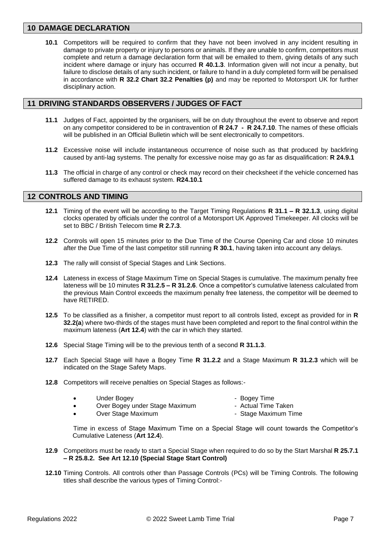#### **10 DAMAGE DECLARATION**

**10.1** Competitors will be required to confirm that they have not been involved in any incident resulting in damage to private property or injury to persons or animals. If they are unable to confirm, competitors must complete and return a damage declaration form that will be emailed to them, giving details of any such incident where damage or injury has occurred **R 40.1.3**. Information given will not incur a penalty, but failure to disclose details of any such incident, or failure to hand in a duly completed form will be penalised in accordance with **R 32.2 Chart 32.2 Penalties (p)** and may be reported to Motorsport UK for further disciplinary action.

#### **11 DRIVING STANDARDS OBSERVERS / JUDGES OF FACT**

- **11.1** Judges of Fact, appointed by the organisers, will be on duty throughout the event to observe and report on any competitor considered to be in contravention of **R 24.7 - R 24.7.10**. The names of these officials will be published in an Official Bulletin which will be sent electronically to competitors.
- **11.2** Excessive noise will include instantaneous occurrence of noise such as that produced by backfiring caused by anti-lag systems. The penalty for excessive noise may go as far as disqualification: **R 24.9.1**
- **11.3** The official in charge of any control or check may record on their checksheet if the vehicle concerned has suffered damage to its exhaust system. **R24.10.1**

#### **12 CONTROLS AND TIMING**

- **12.1** Timing of the event will be according to the Target Timing Regulations **R 31.1 – R 32.1.3**, using digital clocks operated by officials under the control of a Motorsport UK Approved Timekeeper. All clocks will be set to BBC / British Telecom time **R 2.7.3**.
- **12.2** Controls will open 15 minutes prior to the Due Time of the Course Opening Car and close 10 minutes after the Due Time of the last competitor still running **R 30.1**, having taken into account any delays.
- **12.3** The rally will consist of Special Stages and Link Sections.
- <span id="page-8-0"></span>**12.4** Lateness in excess of Stage Maximum Time on Special Stages is cumulative. The maximum penalty free lateness will be 10 minutes **R 31.2.5 – R 31.2.6**. Once a competitor's cumulative lateness calculated from the previous Main Control exceeds the maximum penalty free lateness, the competitor will be deemed to have RETIRED.
- **12.5** To be classified as a finisher, a competitor must report to all controls listed, except as provided for in **R 32.2(a**) where two-thirds of the stages must have been completed and report to the final control within the maximum lateness (**Art [12.4](#page-8-0)**) with the car in which they started.
- **12.6** Special Stage Timing will be to the previous tenth of a second **R 31.1.3**.
- **12.7** Each Special Stage will have a Bogey Time **R 31.2.2** and a Stage Maximum **R 31.2.3** which will be indicated on the Stage Safety Maps.
- **12.8** Competitors will receive penalties on Special Stages as follows:-

|   | Under Bogey                    | - Bogey Time        |
|---|--------------------------------|---------------------|
| ٠ | Over Bogey under Stage Maximum | - Actual Time Taken |

• Over Stage Maximum - Stage Maximum Time

Time in excess of Stage Maximum Time on a Special Stage will count towards the Competitor's Cumulative Lateness (**Art [12.4](#page-8-0)**).

- **12.9** Competitors must be ready to start a Special Stage when required to do so by the Start Marshal **R 25.7.1 – R 25.8.2. See Art [12.10](#page-8-1) (Special Stage Start Control)**
- <span id="page-8-1"></span>**12.10** Timing Controls. All controls other than Passage Controls (PCs) will be Timing Controls. The following titles shall describe the various types of Timing Control:-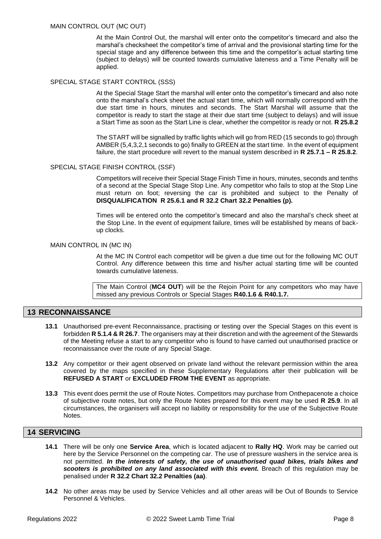#### MAIN CONTROL OUT (MC OUT)

At the Main Control Out, the marshal will enter onto the competitor's timecard and also the marshal's checksheet the competitor's time of arrival and the provisional starting time for the special stage and any difference between this time and the competitor's actual starting time (subject to delays) will be counted towards cumulative lateness and a Time Penalty will be applied.

#### SPECIAL STAGE START CONTROL (SSS)

At the Special Stage Start the marshal will enter onto the competitor's timecard and also note onto the marshal's check sheet the actual start time, which will normally correspond with the due start time in hours, minutes and seconds. The Start Marshal will assume that the competitor is ready to start the stage at their due start time (subject to delays) and will issue a Start Time as soon as the Start Line is clear, whether the competitor is ready or not. **R 25.8.2**

The START will be signalled by traffic lights which will go from RED (15 seconds to go) through AMBER (5,4,3,2,1 seconds to go) finally to GREEN at the start time. In the event of equipment failure, the start procedure will revert to the manual system described in **R 25.7.1 – R 25.8.2**.

#### SPECIAL STAGE FINISH CONTROL (SSF)

Competitors will receive their Special Stage Finish Time in hours, minutes, seconds and tenths of a second at the Special Stage Stop Line. Any competitor who fails to stop at the Stop Line must return on foot; reversing the car is prohibited and subject to the Penalty of **DISQUALIFICATION R 25.6.1 and R 32.2 Chart 32.2 Penalties (p).**

Times will be entered onto the competitor's timecard and also the marshal's check sheet at the Stop Line. In the event of equipment failure, times will be established by means of backup clocks.

#### MAIN CONTROL IN (MC IN)

At the MC IN Control each competitor will be given a due time out for the following MC OUT Control. Any difference between this time and his/her actual starting time will be counted towards cumulative lateness.

The Main Control (**MC4 OUT**) will be the Rejoin Point for any competitors who may have missed any previous Controls or Special Stages **R40.1.6 & R40.1.7.**

#### **13 RECONNAISSANCE**

- **13.1** Unauthorised pre-event Reconnaissance, practising or testing over the Special Stages on this event is forbidden **R 5.1.4 & R 26.7**. The organisers may at their discretion and with the agreement of the Stewards of the Meeting refuse a start to any competitor who is found to have carried out unauthorised practice or reconnaissance over the route of any Special Stage.
- **13.2** Any competitor or their agent observed on private land without the relevant permission within the area covered by the maps specified in these Supplementary Regulations after their publication will be **REFUSED A START** or **EXCLUDED FROM THE EVENT** as appropriate.
- **13.3** This event does permit the use of Route Notes. Competitors may purchase from Onthepacenote a choice of subjective route notes, but only the Route Notes prepared for this event may be used **R 25.9**. In all circumstances, the organisers will accept no liability or responsibility for the use of the Subjective Route Notes.

#### <span id="page-9-0"></span>**14 SERVICING**

- **14.1** There will be only one **Service Area**, which is located adjacent to **Rally HQ**. Work may be carried out here by the Service Personnel on the competing car. The use of pressure washers in the service area is not permitted. *In the interests of safety, the use of unauthorised quad bikes, trials bikes and scooters is prohibited on any land associated with this event.* Breach of this regulation may be penalised under **R 32.2 Chart 32.2 Penalties (aa)**.
- **14.2** No other areas may be used by Service Vehicles and all other areas will be Out of Bounds to Service Personnel & Vehicles.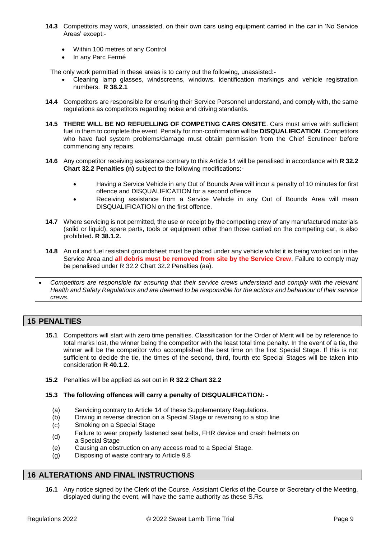- **14.3** Competitors may work, unassisted, on their own cars using equipment carried in the car in 'No Service Areas' except:-
	- Within 100 metres of any Control
	- In any Parc Fermé

The only work permitted in these areas is to carry out the following, unassisted:-

- Cleaning lamp glasses, windscreens, windows, identification markings and vehicle registration numbers. **R 38.2.1**
- **14.4** Competitors are responsible for ensuring their Service Personnel understand, and comply with, the same regulations as competitors regarding noise and driving standards.
- **14.5 THERE WILL BE NO REFUELLING OF COMPETING CARS ONSITE**. Cars must arrive with sufficient fuel in them to complete the event. Penalty for non-confirmation will be **DISQUALIFICATION**. Competitors who have fuel system problems/damage must obtain permission from the Chief Scrutineer before commencing any repairs.
- **14.6** Any competitor receiving assistance contrary to this Articl[e 14](#page-9-0) will be penalised in accordance with **R 32.2 Chart 32.2 Penalties (n)** subject to the following modifications:-
	- Having a Service Vehicle in any Out of Bounds Area will incur a penalty of 10 minutes for first offence and DISQUALIFICATION for a second offence
	- Receiving assistance from a Service Vehicle in any Out of Bounds Area will mean DISQUALIFICATION on the first offence.
- **14.7** Where servicing is not permitted, the use or receipt by the competing crew of any manufactured materials (solid or liquid), spare parts, tools or equipment other than those carried on the competing car, is also prohibited**. R 38.1.2.**
- **14.8** An oil and fuel resistant groundsheet must be placed under any vehicle whilst it is being worked on in the Service Area and **all debris must be removed from site by the Service Crew**. Failure to comply may be penalised under R 32.2 Chart 32.2 Penalties (aa).
- *Competitors are responsible for ensuring that their service crews understand and comply with the relevant Health and Safety Regulations and are deemed to be responsible for the actions and behaviour of their service crews.*

#### **15 PENALTIES**

- **15.1** Competitors will start with zero time penalties. Classification for the Order of Merit will be by reference to total marks lost, the winner being the competitor with the least total time penalty. In the event of a tie, the winner will be the competitor who accomplished the best time on the first Special Stage. If this is not sufficient to decide the tie, the times of the second, third, fourth etc Special Stages will be taken into consideration **R 40.1.2**.
- <span id="page-10-1"></span><span id="page-10-0"></span>**15.2** Penalties will be applied as set out in **R 32.2 Chart 32.2**
- **15.3 The following offences will carry a penalty of DISQUALIFICATION: -**
	- (a) Servicing contrary to Article [14](#page-9-0) of these Supplementary Regulations.
	- (b) Driving in reverse direction on a Special Stage or reversing to a stop line
	- (c) Smoking on a Special Stage
	- (d) Failure to wear properly fastened seat belts, FHR device and crash helmets on
	- a Special Stage
	- (e) Causing an obstruction on any access road to a Special Stage.
	- (g) Disposing of waste contrary to Article [9.8](#page-7-0)

#### **16 ALTERATIONS AND FINAL INSTRUCTIONS**

**16.1** Any notice signed by the Clerk of the Course, Assistant Clerks of the Course or Secretary of the Meeting, displayed during the event, will have the same authority as these S.Rs.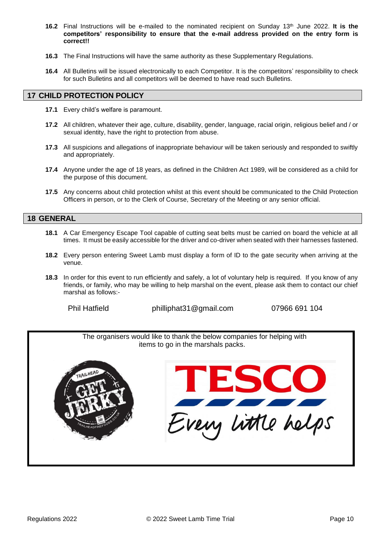- **16.2** Final Instructions will be e-mailed to the nominated recipient on Sunday 13th June 2022. **It is the competitors' responsibility to ensure that the e-mail address provided on the entry form is correct!!**
- **16.3** The Final Instructions will have the same authority as these Supplementary Regulations.
- **16.4** All Bulletins will be issued electronically to each Competitor. It is the competitors' responsibility to check for such Bulletins and all competitors will be deemed to have read such Bulletins.

#### **17 CHILD PROTECTION POLICY**

- **17.1** Every child's welfare is paramount.
- **17.2** All children, whatever their age, culture, disability, gender, language, racial origin, religious belief and / or sexual identity, have the right to protection from abuse.
- **17.3** All suspicions and allegations of inappropriate behaviour will be taken seriously and responded to swiftly and appropriately.
- **17.4** Anyone under the age of 18 years, as defined in the Children Act 1989, will be considered as a child for the purpose of this document.
- **17.5** Any concerns about child protection whilst at this event should be communicated to the Child Protection Officers in person, or to the Clerk of Course, Secretary of the Meeting or any senior official.

#### **18 GENERAL**

- **18.1** A Car Emergency Escape Tool capable of cutting seat belts must be carried on board the vehicle at all times. It must be easily accessible for the driver and co-driver when seated with their harnesses fastened.
- **18.2** Every person entering Sweet Lamb must display a form of ID to the gate security when arriving at the venue.
- **18.3** In order for this event to run efficiently and safely, a lot of voluntary help is required. If you know of any friends, or family, who may be willing to help marshal on the event, please ask them to contact our chief marshal as follows:-

Phil Hatfield philliphat31@gmail.com 07966 691 104

The organisers would like to thank the below companies for helping with items to go in the marshals packs.

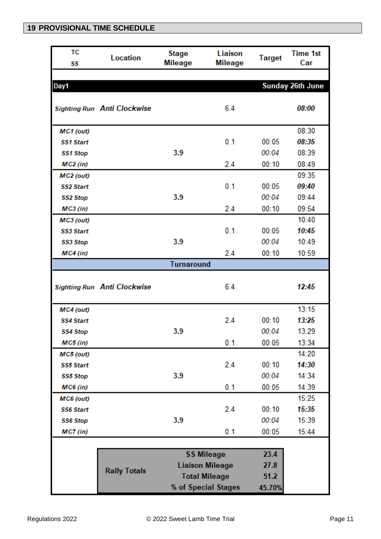## **19 PROVISIONAL TIME SCHEDULE**

| ТC<br>SS         | <b>Location</b>                               | <b>Stage</b><br><b>Mileage</b> | Liaison<br><b>Mileage</b> | <b>Target</b> | <b>Time 1st</b><br>Car  |
|------------------|-----------------------------------------------|--------------------------------|---------------------------|---------------|-------------------------|
|                  |                                               |                                |                           |               |                         |
| Day1             |                                               |                                |                           |               | <b>Sunday 26th June</b> |
|                  | <b>Sighting Run Anti Clockwise</b>            |                                | 6.4                       |               | 08:00                   |
| MC1 (out)        |                                               |                                |                           |               | 08:30                   |
| <b>SS1 Start</b> |                                               |                                | 0.1                       | 00:05         | 08:35                   |
| <b>SS1 Stop</b>  |                                               | 3.9                            |                           | 00:04         | 08:39                   |
| <b>MC2</b> (in)  |                                               |                                | 2.4                       | 00:10         | 08:49                   |
| MC2 (out)        |                                               |                                |                           |               | 09:35                   |
| <b>SS2 Start</b> |                                               |                                | 0.1                       | 00:05         | 09:40                   |
| <b>SS2 Stop</b>  |                                               | 3.9                            |                           | 00:04         | 09:44                   |
| $MC3$ (in)       |                                               |                                | 2.4                       | 00:10         | 09:54                   |
| MC3 (out)        |                                               |                                |                           |               | 10:40                   |
| <b>SS3 Start</b> |                                               |                                | 0.1                       | 00:05         | 10:45                   |
| <b>SS3 Stop</b>  |                                               | 3.9                            |                           | 00:04         | 10:49                   |
| <b>MC4</b> (in)  |                                               |                                | 2.4                       | 00:10         | 10:59                   |
|                  |                                               | <b>Turnaround</b>              |                           |               |                         |
|                  | <b>Sighting Run Anti Clockwise</b>            |                                | 6.4                       |               | 12:45                   |
| MC4 (out)        |                                               |                                |                           |               | 13:15                   |
| <b>SS4 Start</b> |                                               |                                | 2.4                       | 00:10         | 13:25                   |
| SS4 Stop         |                                               | 3.9                            |                           | 00:04         | 13:29                   |
| MC5 (in)         |                                               |                                | 0.1                       | 00:05         | 13:34                   |
| MC5 (out)        |                                               |                                |                           |               | 14:20                   |
| <b>SS5 Start</b> |                                               |                                | 2.4                       | 00:10         | 14:30                   |
| <b>SS5 Stop</b>  |                                               | 3.9                            |                           | 00:04         | 14:34                   |
| MC6 (in)         |                                               |                                | 0.1                       | 00:05         | 14:39                   |
| MC6 (out)        |                                               |                                |                           |               | 15:25                   |
| <b>SS6 Start</b> |                                               |                                | 2.4                       | 00:10         | 15:35                   |
| <b>SS6 Stop</b>  |                                               | 3.9                            |                           | 00:04         | 15:39                   |
| $MC7$ (in)       |                                               |                                | 0.1                       | 00:05         | 15:44                   |
|                  |                                               |                                |                           |               |                         |
|                  | 23.4<br><b>SS Mileage</b>                     |                                |                           |               |                         |
|                  | <b>Liaison Mileage</b><br><b>Rally Totals</b> |                                |                           | 27.8          |                         |
|                  |                                               |                                | <b>Total Mileage</b>      | 51.2          |                         |
|                  |                                               |                                | % of Special Stages       | 45.70%        |                         |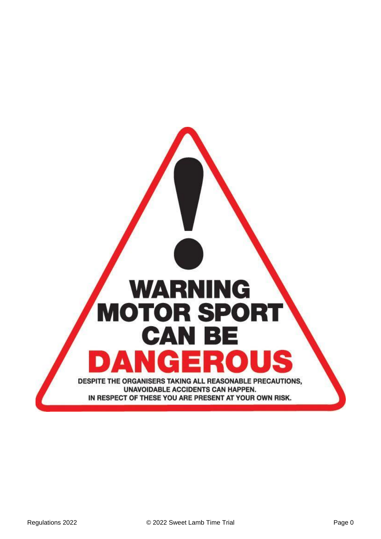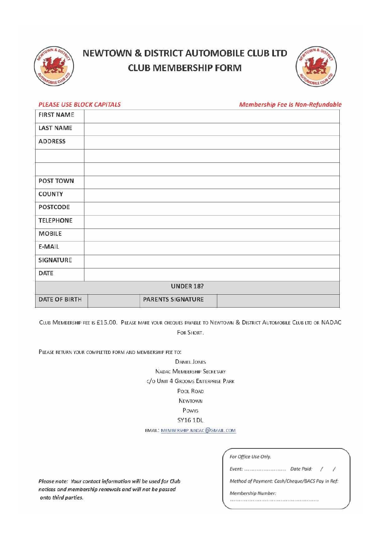

# **NEWTOWN & DISTRICT AUTOMOBILE CLUB LTD CLUB MEMBERSHIP FORM**



| <b>PLEASE USE BLOCK CAPITALS</b> | <b>Membership Fee Is Non-Refundable</b> |
|----------------------------------|-----------------------------------------|
| <b>FIRST NAME</b>                |                                         |
| <b>LAST NAME</b>                 |                                         |
| <b>ADDRESS</b>                   |                                         |
|                                  |                                         |
|                                  |                                         |
| POST TOWN                        |                                         |
| <b>COUNTY</b>                    |                                         |
| POSTCODE                         |                                         |
| <b>TELEPHONE</b>                 |                                         |
| <b>MOBILE</b>                    |                                         |
| E-MAIL                           |                                         |
| SIGNATURE                        |                                         |
| DATE                             |                                         |
|                                  | <b>UNDER 18?</b>                        |
| DATE OF BIRTH                    | <b>PARENTS SIGNATURE</b>                |

CLUB MEMBERSHIP FEE IS £15.00. PLEASE MAKE YOUR CHEQUES PAYABLE TO NEWTOWN & DISTRICT AUTOMOBILE CLUB LTD OR NADAC FOR SHORT.

PLEASE RETURN YOUR COMPLETED FORM AND MEMBERSHIP FEE TO:

**DANIEL JONES** NADAC MEMBERSHIP SECRETARY C/O UNIT 4 GROOMS ENTERPRISE PARK POOL ROAD NEWTOWN Powys **SY16 1DL** 

EMAIL: MEMBERSHIP.NADAC@GMAIL.COM

Please note: Your contact information will be used for Club notices and membership renewals and will not be passed onto third parties.

| For Office Use Only. |  |
|----------------------|--|

Event: .......................... Date Paid: /

Method of Payment: Cash/Cheque/BACS Pay In Ref:

 $\overline{\phantom{a}}$ 

Membership Number: